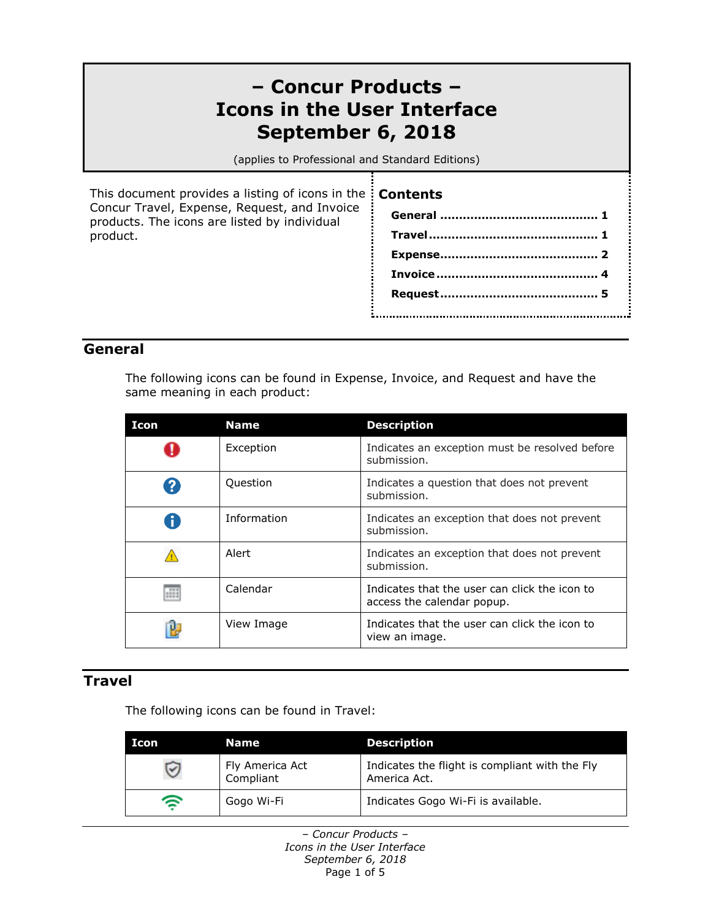# **– Concur Products – Icons in the User Interface September 6, 2018**

(applies to Professional and Standard Editions)

This document provides a listing of icons in the **Contents** Concur Travel, Expense, Request, and Invoice products. The icons are listed by individual product.

**General [..........................................](#page-0-0) 1 [Travel.............................................](#page-0-1) 1 [Expense..........................................](#page-1-0) 2 [Invoice...........................................](#page-3-0) 4 Request [..........................................](#page-4-0) 5** 

#### <span id="page-0-0"></span>**General**

The following icons can be found in Expense, Invoice, and Request and have the same meaning in each product:

| Icon | <b>Name</b> | <b>Description</b>                                                          |
|------|-------------|-----------------------------------------------------------------------------|
|      | Exception   | Indicates an exception must be resolved before<br>submission.               |
|      | Question    | Indicates a question that does not prevent<br>submission.                   |
|      | Information | Indicates an exception that does not prevent<br>submission.                 |
|      | Alert       | Indicates an exception that does not prevent<br>submission.                 |
| m    | Calendar    | Indicates that the user can click the icon to<br>access the calendar popup. |
|      | View Image  | Indicates that the user can click the icon to<br>view an image.             |

#### <span id="page-0-1"></span>**Travel**

The following icons can be found in Travel:

| Icon | Name                         | <b>Description</b>                                             |
|------|------------------------------|----------------------------------------------------------------|
|      | Fly America Act<br>Compliant | Indicates the flight is compliant with the Fly<br>America Act. |
| ຣ    | Gogo Wi-Fi                   | Indicates Gogo Wi-Fi is available.                             |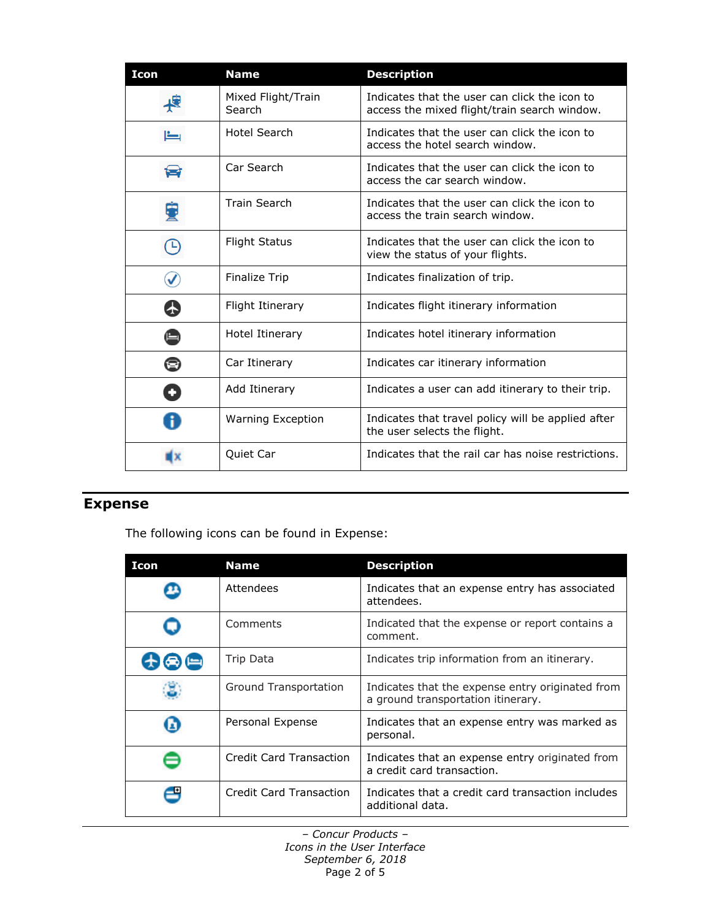| <b>Icon</b> | <b>Name</b>                  | <b>Description</b>                                                                            |
|-------------|------------------------------|-----------------------------------------------------------------------------------------------|
|             | Mixed Flight/Train<br>Search | Indicates that the user can click the icon to<br>access the mixed flight/train search window. |
| ىغا         | <b>Hotel Search</b>          | Indicates that the user can click the icon to<br>access the hotel search window.              |
|             | Car Search                   | Indicates that the user can click the icon to<br>access the car search window.                |
|             | <b>Train Search</b>          | Indicates that the user can click the icon to<br>access the train search window.              |
| $\bigcirc$  | <b>Flight Status</b>         | Indicates that the user can click the icon to<br>view the status of your flights.             |
|             | <b>Finalize Trip</b>         | Indicates finalization of trip.                                                               |
| 65          | <b>Flight Itinerary</b>      | Indicates flight itinerary information                                                        |
|             | Hotel Itinerary              | Indicates hotel itinerary information                                                         |
| ⊜           | Car Itinerary                | Indicates car itinerary information                                                           |
|             | Add Itinerary                | Indicates a user can add itinerary to their trip.                                             |
|             | <b>Warning Exception</b>     | Indicates that travel policy will be applied after<br>the user selects the flight.            |
| 133         | Quiet Car                    | Indicates that the rail car has noise restrictions.                                           |

### <span id="page-1-0"></span>**Expense**

The following icons can be found in Expense:

| Icon | <b>Name</b>             | <b>Description</b>                                                                     |
|------|-------------------------|----------------------------------------------------------------------------------------|
|      | Attendees               | Indicates that an expense entry has associated<br>attendees.                           |
|      | Comments                | Indicated that the expense or report contains a<br>comment.                            |
| 中国国  | Trip Data               | Indicates trip information from an itinerary.                                          |
|      | Ground Transportation   | Indicates that the expense entry originated from<br>a ground transportation itinerary. |
|      | Personal Expense        | Indicates that an expense entry was marked as<br>personal.                             |
|      | Credit Card Transaction | Indicates that an expense entry originated from<br>a credit card transaction.          |
|      | Credit Card Transaction | Indicates that a credit card transaction includes<br>additional data.                  |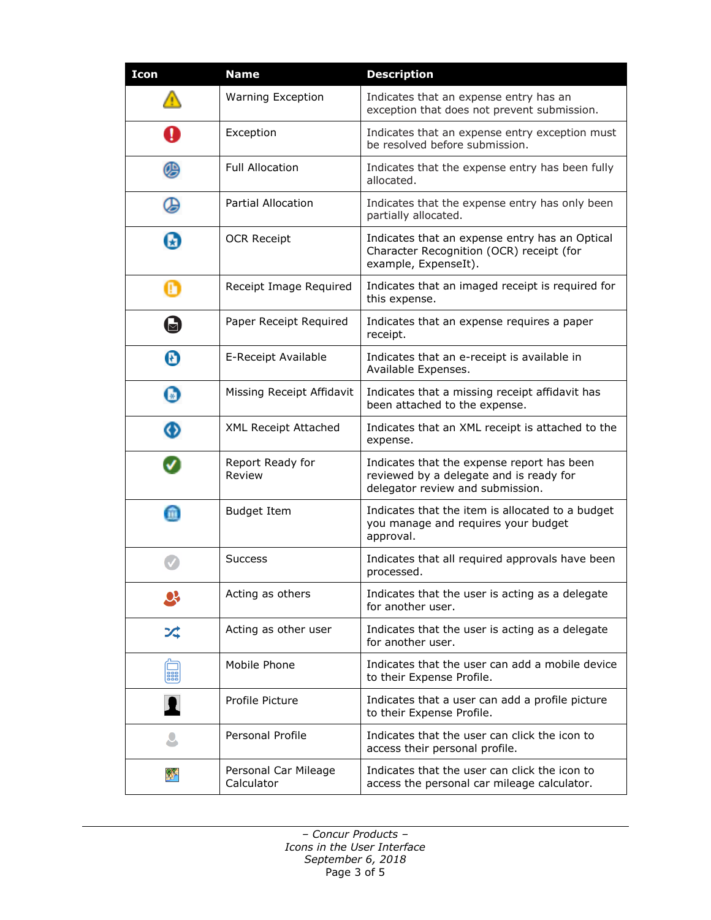| <b>Icon</b> | <b>Name</b>                        | <b>Description</b>                                                                                                        |
|-------------|------------------------------------|---------------------------------------------------------------------------------------------------------------------------|
|             | <b>Warning Exception</b>           | Indicates that an expense entry has an<br>exception that does not prevent submission.                                     |
| A           | Exception                          | Indicates that an expense entry exception must<br>be resolved before submission.                                          |
| G           | <b>Full Allocation</b>             | Indicates that the expense entry has been fully<br>allocated.                                                             |
| ⊌           | Partial Allocation                 | Indicates that the expense entry has only been<br>partially allocated.                                                    |
| H           | <b>OCR Receipt</b>                 | Indicates that an expense entry has an Optical<br>Character Recognition (OCR) receipt (for<br>example, ExpenseIt).        |
| Ø           | Receipt Image Required             | Indicates that an imaged receipt is required for<br>this expense.                                                         |
| Ы           | Paper Receipt Required             | Indicates that an expense requires a paper<br>receipt.                                                                    |
| Ø           | E-Receipt Available                | Indicates that an e-receipt is available in<br>Available Expenses.                                                        |
| Ø           | Missing Receipt Affidavit          | Indicates that a missing receipt affidavit has<br>been attached to the expense.                                           |
| ⊕           | <b>XML Receipt Attached</b>        | Indicates that an XML receipt is attached to the<br>expense.                                                              |
|             | Report Ready for<br>Review         | Indicates that the expense report has been<br>reviewed by a delegate and is ready for<br>delegator review and submission. |
| m           | <b>Budget Item</b>                 | Indicates that the item is allocated to a budget<br>you manage and requires your budget<br>approval.                      |
|             | Success                            | Indicates that all required approvals have been<br>processed.                                                             |
|             | Acting as others                   | Indicates that the user is acting as a delegate<br>for another user.                                                      |
| プ           | Acting as other user               | Indicates that the user is acting as a delegate<br>for another user.                                                      |
| 888         | Mobile Phone                       | Indicates that the user can add a mobile device<br>to their Expense Profile.                                              |
|             | Profile Picture                    | Indicates that a user can add a profile picture<br>to their Expense Profile.                                              |
|             | Personal Profile                   | Indicates that the user can click the icon to<br>access their personal profile.                                           |
| ₩           | Personal Car Mileage<br>Calculator | Indicates that the user can click the icon to<br>access the personal car mileage calculator.                              |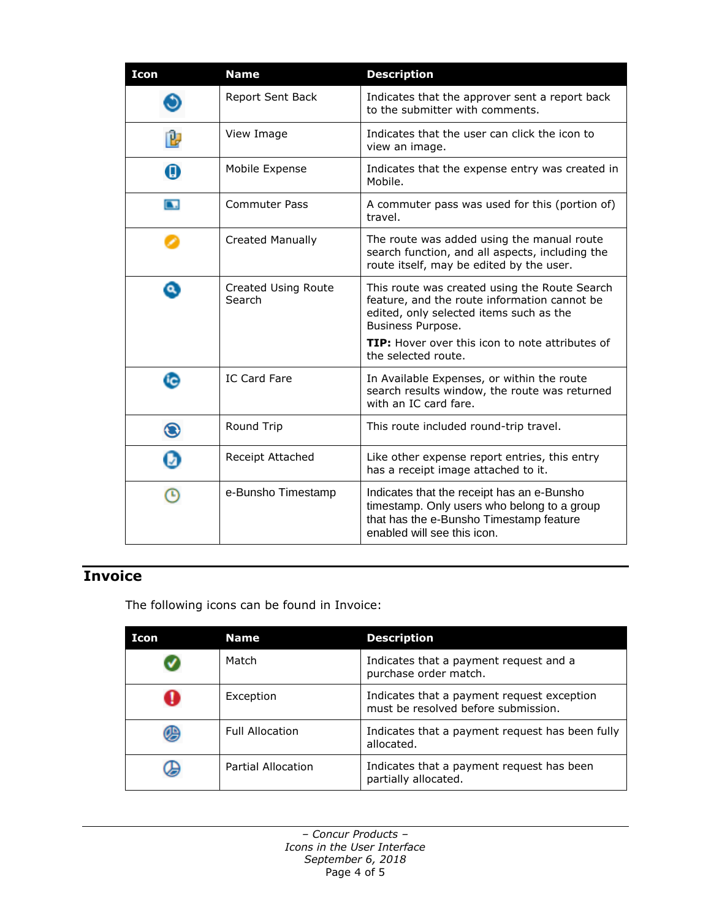| <b>Icon</b> | <b>Name</b>                   | <b>Description</b>                                                                                                                                                                                                                      |
|-------------|-------------------------------|-----------------------------------------------------------------------------------------------------------------------------------------------------------------------------------------------------------------------------------------|
|             | Report Sent Back              | Indicates that the approver sent a report back<br>to the submitter with comments.                                                                                                                                                       |
|             | View Image                    | Indicates that the user can click the icon to<br>view an image.                                                                                                                                                                         |
| o           | Mobile Expense                | Indicates that the expense entry was created in<br>Mobile.                                                                                                                                                                              |
| N           | <b>Commuter Pass</b>          | A commuter pass was used for this (portion of)<br>travel.                                                                                                                                                                               |
|             | <b>Created Manually</b>       | The route was added using the manual route<br>search function, and all aspects, including the<br>route itself, may be edited by the user.                                                                                               |
| $\bullet$   | Created Using Route<br>Search | This route was created using the Route Search<br>feature, and the route information cannot be<br>edited, only selected items such as the<br>Business Purpose.<br>TIP: Hover over this icon to note attributes of<br>the selected route. |
|             | <b>IC Card Fare</b>           | In Available Expenses, or within the route<br>search results window, the route was returned<br>with an IC card fare.                                                                                                                    |
| ◉           | Round Trip                    | This route included round-trip travel.                                                                                                                                                                                                  |
|             | Receipt Attached              | Like other expense report entries, this entry<br>has a receipt image attached to it.                                                                                                                                                    |
|             | e-Bunsho Timestamp            | Indicates that the receipt has an e-Bunsho<br>timestamp. Only users who belong to a group<br>that has the e-Bunsho Timestamp feature<br>enabled will see this icon.                                                                     |

## <span id="page-3-0"></span>**Invoice**

The following icons can be found in Invoice:

| Icon | <b>Name</b>            | <b>Description</b>                                                                |
|------|------------------------|-----------------------------------------------------------------------------------|
|      | Match                  | Indicates that a payment request and a<br>purchase order match.                   |
|      | Exception              | Indicates that a payment request exception<br>must be resolved before submission. |
|      | <b>Full Allocation</b> | Indicates that a payment request has been fully<br>allocated.                     |
|      | Partial Allocation     | Indicates that a payment request has been<br>partially allocated.                 |